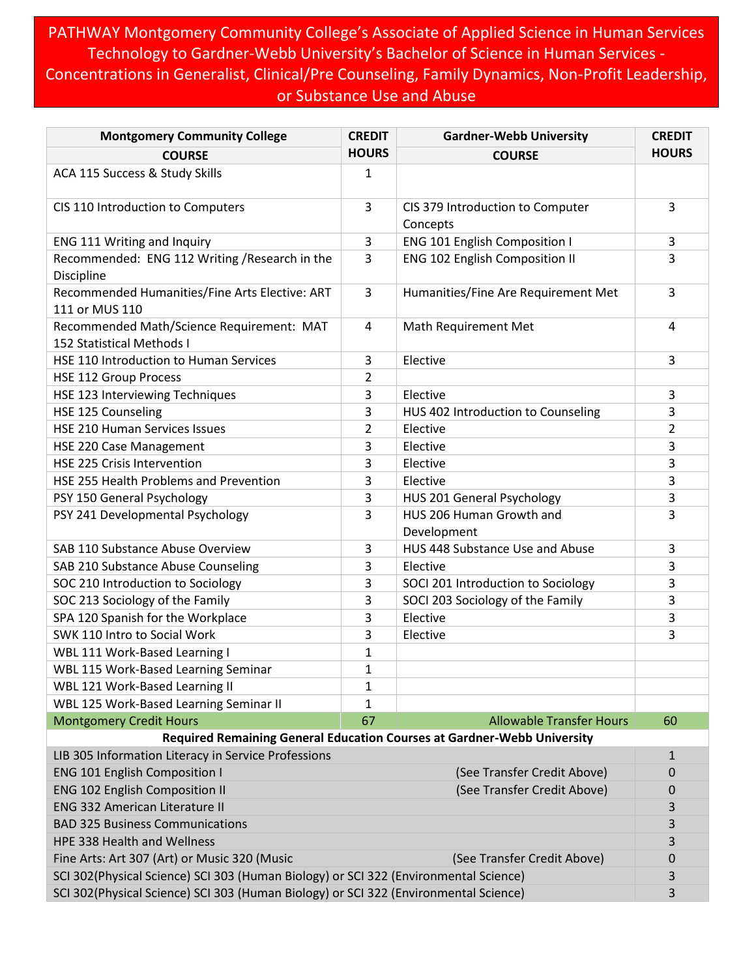PATHWAY Montgomery Community College's Associate of Applied Science in Human Services Technology to Gardner-Webb University's Bachelor of Science in Human Services - Concentrations in Generalist, Clinical/Pre Counseling, Family Dynamics, Non-Profit Leadership, or Substance Use and Abuse

| <b>Montgomery Community College</b>                                                  | <b>CREDIT</b>  | <b>Gardner-Webb University</b>                                          | <b>CREDIT</b> |
|--------------------------------------------------------------------------------------|----------------|-------------------------------------------------------------------------|---------------|
| <b>COURSE</b>                                                                        | <b>HOURS</b>   | <b>COURSE</b>                                                           | <b>HOURS</b>  |
| ACA 115 Success & Study Skills                                                       | $\mathbf{1}$   |                                                                         |               |
| CIS 110 Introduction to Computers                                                    | 3              | CIS 379 Introduction to Computer<br>Concepts                            | 3             |
| ENG 111 Writing and Inquiry                                                          | 3              | ENG 101 English Composition I                                           | 3             |
| Recommended: ENG 112 Writing / Research in the<br>Discipline                         | 3              | <b>ENG 102 English Composition II</b>                                   | 3             |
| Recommended Humanities/Fine Arts Elective: ART<br>111 or MUS 110                     | 3              | Humanities/Fine Are Requirement Met                                     | 3             |
| Recommended Math/Science Requirement: MAT<br>152 Statistical Methods I               | 4              | Math Requirement Met                                                    | 4             |
| HSE 110 Introduction to Human Services                                               | 3              | Elective                                                                | 3             |
| <b>HSE 112 Group Process</b>                                                         | $\overline{2}$ |                                                                         |               |
| HSE 123 Interviewing Techniques                                                      | 3              | Elective                                                                | 3             |
| HSE 125 Counseling                                                                   | 3              | HUS 402 Introduction to Counseling                                      | 3             |
| HSE 210 Human Services Issues                                                        | $\overline{2}$ | Elective                                                                | 2             |
| HSE 220 Case Management                                                              | 3              | Elective                                                                | 3             |
| <b>HSE 225 Crisis Intervention</b>                                                   | 3              | Elective                                                                | 3             |
| HSE 255 Health Problems and Prevention                                               | 3              | Elective                                                                | 3             |
| PSY 150 General Psychology                                                           | 3              | HUS 201 General Psychology                                              | 3             |
| PSY 241 Developmental Psychology                                                     | 3              | HUS 206 Human Growth and<br>Development                                 | 3             |
| SAB 110 Substance Abuse Overview                                                     | 3              | HUS 448 Substance Use and Abuse                                         | 3             |
| SAB 210 Substance Abuse Counseling                                                   | 3              | Elective                                                                | 3             |
| SOC 210 Introduction to Sociology                                                    | 3              | SOCI 201 Introduction to Sociology                                      | 3             |
| SOC 213 Sociology of the Family                                                      | 3              | SOCI 203 Sociology of the Family                                        | 3             |
| SPA 120 Spanish for the Workplace                                                    | 3              | Elective                                                                | 3             |
| SWK 110 Intro to Social Work                                                         | 3              | Elective                                                                | 3             |
| WBL 111 Work-Based Learning I                                                        | $\mathbf{1}$   |                                                                         |               |
| WBL 115 Work-Based Learning Seminar                                                  | $\mathbf{1}$   |                                                                         |               |
| WBL 121 Work-Based Learning II                                                       | 1              |                                                                         |               |
| WBL 125 Work-Based Learning Seminar II                                               | 1              |                                                                         |               |
| <b>Montgomery Credit Hours</b>                                                       | 67             | <b>Allowable Transfer Hours</b>                                         | 60            |
|                                                                                      |                | Required Remaining General Education Courses at Gardner-Webb University |               |
| LIB 305 Information Literacy in Service Professions                                  |                |                                                                         | $\mathbf{1}$  |
| <b>ENG 101 English Composition I</b>                                                 |                | (See Transfer Credit Above)                                             | 0             |
| <b>ENG 102 English Composition II</b>                                                |                | (See Transfer Credit Above)                                             | 0             |
| <b>ENG 332 American Literature II</b>                                                |                |                                                                         | 3             |
| <b>BAD 325 Business Communications</b>                                               |                |                                                                         | 3             |
| HPE 338 Health and Wellness                                                          |                |                                                                         | 3             |
| Fine Arts: Art 307 (Art) or Music 320 (Music                                         |                | (See Transfer Credit Above)                                             | 0             |
| SCI 302(Physical Science) SCI 303 (Human Biology) or SCI 322 (Environmental Science) |                |                                                                         | 3             |
| SCI 302(Physical Science) SCI 303 (Human Biology) or SCI 322 (Environmental Science) |                |                                                                         |               |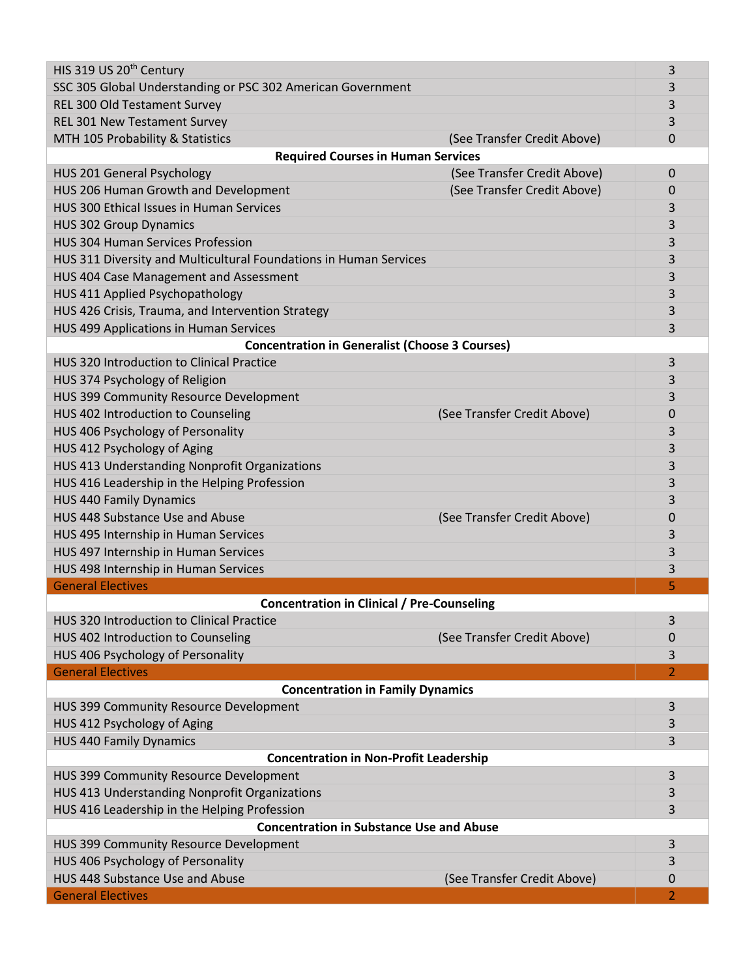| HIS 319 US 20 <sup>th</sup> Century                               | 3                                          |  |  |  |
|-------------------------------------------------------------------|--------------------------------------------|--|--|--|
| SSC 305 Global Understanding or PSC 302 American Government       | 3                                          |  |  |  |
| REL 300 Old Testament Survey                                      | 3                                          |  |  |  |
| REL 301 New Testament Survey                                      | 3                                          |  |  |  |
| MTH 105 Probability & Statistics                                  | (See Transfer Credit Above)<br>$\Omega$    |  |  |  |
| <b>Required Courses in Human Services</b>                         |                                            |  |  |  |
| HUS 201 General Psychology                                        | (See Transfer Credit Above)<br>$\mathbf 0$ |  |  |  |
| HUS 206 Human Growth and Development                              | (See Transfer Credit Above)<br>0           |  |  |  |
| HUS 300 Ethical Issues in Human Services                          | 3                                          |  |  |  |
| <b>HUS 302 Group Dynamics</b>                                     | 3                                          |  |  |  |
| <b>HUS 304 Human Services Profession</b>                          | 3                                          |  |  |  |
| HUS 311 Diversity and Multicultural Foundations in Human Services |                                            |  |  |  |
| HUS 404 Case Management and Assessment                            | 3                                          |  |  |  |
| HUS 411 Applied Psychopathology                                   | 3                                          |  |  |  |
| HUS 426 Crisis, Trauma, and Intervention Strategy                 | 3                                          |  |  |  |
| HUS 499 Applications in Human Services                            | 3                                          |  |  |  |
| <b>Concentration in Generalist (Choose 3 Courses)</b>             |                                            |  |  |  |
| HUS 320 Introduction to Clinical Practice                         | 3                                          |  |  |  |
| HUS 374 Psychology of Religion                                    | 3                                          |  |  |  |
| HUS 399 Community Resource Development                            | 3                                          |  |  |  |
| HUS 402 Introduction to Counseling                                | (See Transfer Credit Above)<br>0           |  |  |  |
| HUS 406 Psychology of Personality                                 | 3                                          |  |  |  |
| HUS 412 Psychology of Aging                                       | 3                                          |  |  |  |
| HUS 413 Understanding Nonprofit Organizations                     | 3                                          |  |  |  |
| HUS 416 Leadership in the Helping Profession                      | 3                                          |  |  |  |
| <b>HUS 440 Family Dynamics</b>                                    | 3                                          |  |  |  |
| HUS 448 Substance Use and Abuse                                   | (See Transfer Credit Above)<br>0           |  |  |  |
| HUS 495 Internship in Human Services                              | 3                                          |  |  |  |
| HUS 497 Internship in Human Services                              | 3                                          |  |  |  |
| HUS 498 Internship in Human Services                              | 3                                          |  |  |  |
| <b>General Electives</b>                                          | 5                                          |  |  |  |
| <b>Concentration in Clinical / Pre-Counseling</b>                 |                                            |  |  |  |
| <b>HUS 320 Introduction to Clinical Practice</b>                  | 3                                          |  |  |  |
| HUS 402 Introduction to Counseling                                | (See Transfer Credit Above)<br>0           |  |  |  |
| HUS 406 Psychology of Personality                                 | 3                                          |  |  |  |
| <b>General Electives</b>                                          | $\overline{2}$                             |  |  |  |
| <b>Concentration in Family Dynamics</b>                           |                                            |  |  |  |
| HUS 399 Community Resource Development                            | 3                                          |  |  |  |
| HUS 412 Psychology of Aging                                       | 3                                          |  |  |  |
| <b>HUS 440 Family Dynamics</b>                                    | 3                                          |  |  |  |
| <b>Concentration in Non-Profit Leadership</b>                     |                                            |  |  |  |
| HUS 399 Community Resource Development                            | 3                                          |  |  |  |
| HUS 413 Understanding Nonprofit Organizations                     | 3                                          |  |  |  |
| HUS 416 Leadership in the Helping Profession                      | 3                                          |  |  |  |
| <b>Concentration in Substance Use and Abuse</b>                   |                                            |  |  |  |
| HUS 399 Community Resource Development                            | 3                                          |  |  |  |
| HUS 406 Psychology of Personality                                 | 3                                          |  |  |  |
| HUS 448 Substance Use and Abuse                                   | (See Transfer Credit Above)<br>$\mathbf 0$ |  |  |  |
| <b>General Electives</b>                                          | 2                                          |  |  |  |